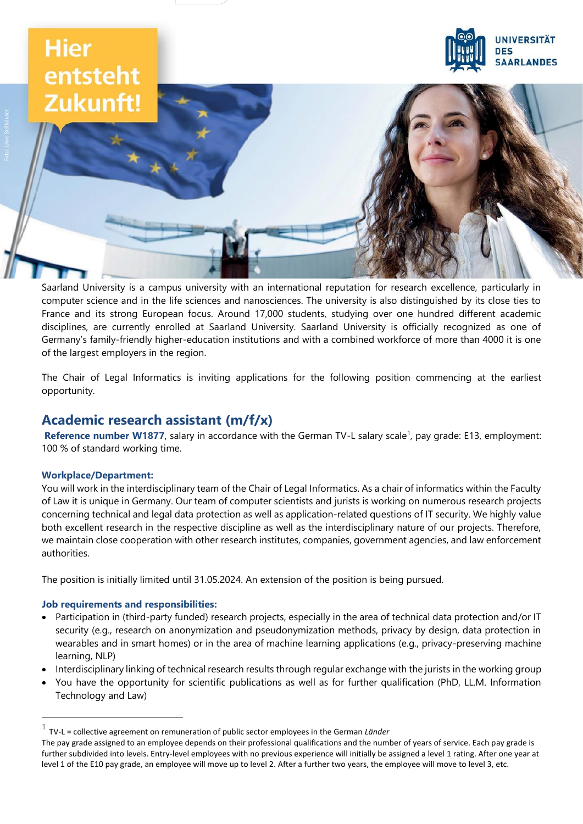# **Hier** entsteht Zukunft!



Saarland University is a campus university with an international reputation for research excellence, particularly in computer science and in the life sciences and nanosciences. The university is also distinguished by its close ties to France and its strong European focus. Around 17,000 students, studying over one hundred different academic disciplines, are currently enrolled at Saarland University. Saarland University is officially recognized as one of Germany's family-friendly higher-education institutions and with a combined workforce of more than 4000 it is one of the largest employers in the region.

The Chair of Legal Informatics is inviting applications for the following position commencing at the earliest opportunity.

# **Academic research assistant (m/f/x)**

Reference number W1877, salary in accordance with the German TV-L salary scale<sup>1</sup>, pay grade: E13, employment: 100 % of standard working time.

# **Workplace/Department:**

You will work in the interdisciplinary team of the Chair of Legal Informatics. As a chair of informatics within the Faculty of Law it is unique in Germany. Our team of computer scientists and jurists is working on numerous research projects concerning technical and legal data protection as well as application-related questions of IT security. We highly value both excellent research in the respective discipline as well as the interdisciplinary nature of our projects. Therefore, we maintain close cooperation with other research institutes, companies, government agencies, and law enforcement authorities.

The position is initially limited until 31.05.2024. An extension of the position is being pursued.

# **Job requirements and responsibilities:**

- Participation in (third-party funded) research projects, especially in the area of technical data protection and/or IT security (e.g., research on anonymization and pseudonymization methods, privacy by design, data protection in wearables and in smart homes) or in the area of machine learning applications (e.g., privacy-preserving machine learning, NLP)
- Interdisciplinary linking of technical research results through regular exchange with the jurists in the working group
- You have the opportunity for scientific publications as well as for further qualification (PhD, LL.M. Information Technology and Law)

<sup>1</sup> TV-L = collective agreement on remuneration of public sector employees in the German *Länder*

The pay grade assigned to an employee depends on their professional qualifications and the number of years of service. Each pay grade is further subdivided into levels. Entry-level employees with no previous experience will initially be assigned a level 1 rating. After one year at level 1 of the E10 pay grade, an employee will move up to level 2. After a further two years, the employee will move to level 3, etc.